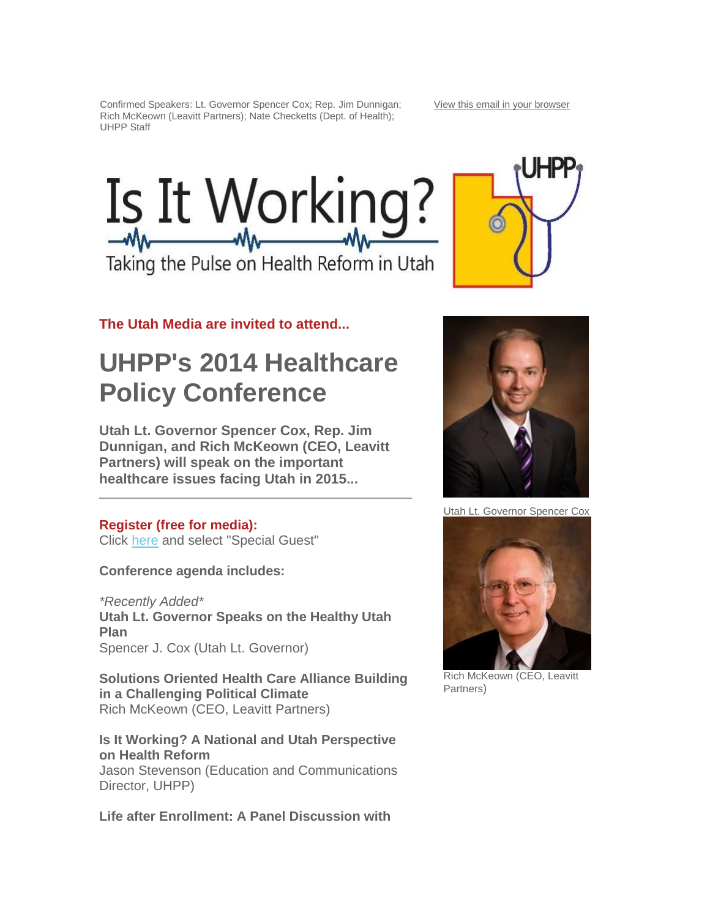Confirmed Speakers: Lt. Governor Spencer Cox; Rep. Jim Dunnigan; Rich McKeown (Leavitt Partners); Nate Checketts (Dept. of Health); UHPP Staff



Taking the Pulse on Health Reform in Utah

**The Utah Media are invited to attend...**

## **UHPP's 2014 Healthcare Policy Conference**

**Utah Lt. Governor Spencer Cox, Rep. Jim Dunnigan, and Rich McKeown (CEO, Leavitt Partners) will speak on the important healthcare issues facing Utah in 2015...**

### **Register (free for media):**

Click [here](https://www.eventbrite.com/e/uhpp-annual-conference-tickets-12654430743) and select "Special Guest"

**Conference agenda includes:**

*\*Recently Added\** **Utah Lt. Governor Speaks on the Healthy Utah Plan** Spencer J. Cox (Utah Lt. Governor)

**Solutions Oriented Health Care Alliance Building in a Challenging Political Climate** Rich McKeown (CEO, Leavitt Partners)

**Is It Working? A National and Utah Perspective on Health Reform** Jason Stevenson (Education and Communications Director, UHPP)

**Life after Enrollment: A Panel Discussion with** 





Utah Lt. Governor Spencer Cox



Rich McKeown (CEO, Leavitt Partners)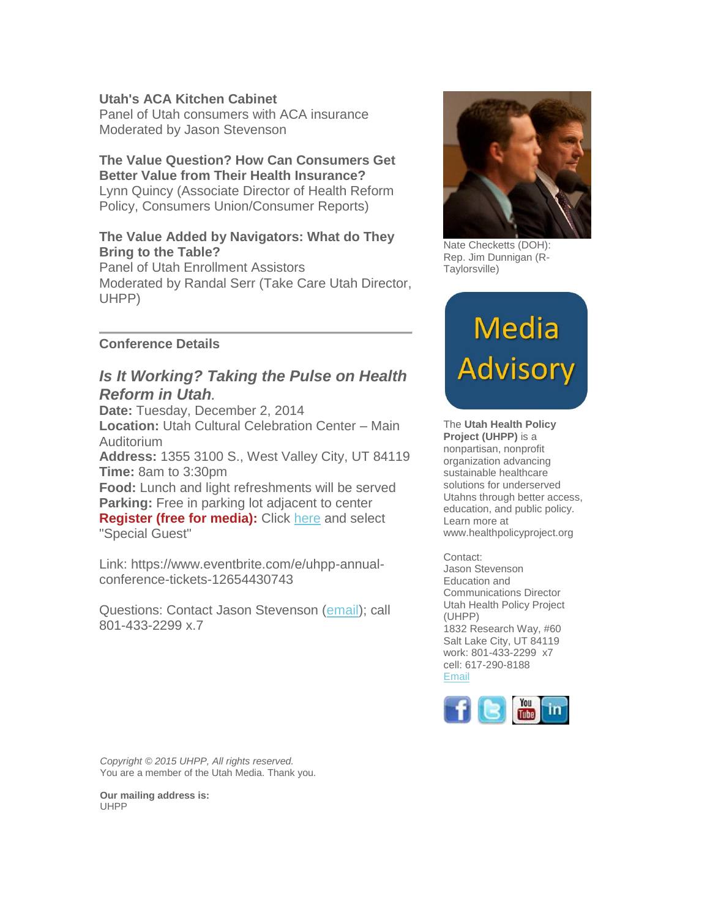#### **Utah's ACA Kitchen Cabinet**

Panel of Utah consumers with ACA insurance Moderated by Jason Stevenson

#### **The Value Question? How Can Consumers Get Better Value from Their Health Insurance?**

Lynn Quincy (Associate Director of Health Reform Policy, Consumers Union/Consumer Reports)

#### **The Value Added by Navigators: What do They Bring to the Table?**

Panel of Utah Enrollment Assistors Moderated by Randal Serr (Take Care Utah Director, UHPP)

#### **Conference Details**

#### *Is It Working? Taking the Pulse on Health Reform in Utah.*

**Date:** Tuesday, December 2, 2014 **Location:** Utah Cultural Celebration Center – Main Auditorium **Address:** 1355 3100 S., West Valley City, UT 84119 **Time:** 8am to 3:30pm **Food:** Lunch and light refreshments will be served **Parking:** Free in parking lot adjacent to center

**Register (free for media):** Click [here](https://www.eventbrite.com/e/uhpp-annual-conference-tickets-12654430743) and select "Special Guest"

Link: https://www.eventbrite.com/e/uhpp-annualconference-tickets-12654430743

Questions: Contact Jason Stevenson [\(email\)](mailto:stevenson@healthpolicyproject.org?subject=UHPP%20Conference-Media); call 801-433-2299 x.7



Nate Checketts (DOH): Rep. Jim Dunnigan (R-Taylorsville)

# Media Advisory

The **Utah Health Policy Project (UHPP)** is a nonpartisan, nonprofit organization advancing sustainable healthcare solutions for underserved Utahns through better access, education, and public policy. Learn more at www.healthpolicyproject.org

Contact: Jason Stevenson Education and Communications Director Utah Health Policy Project (UHPP) 1832 Research Way, #60

Salt Lake City, UT 84119 work: 801-433-2299 x7 cell: 617-290-8188 [Email](mailto:stevenson@health%20policyproject.org?subject=re%3A%20Media%20Advisory)



*Copyright © 2015 UHPP, All rights reserved.* You are a member of the Utah Media. Thank you.

**Our mailing address is:** UHPP